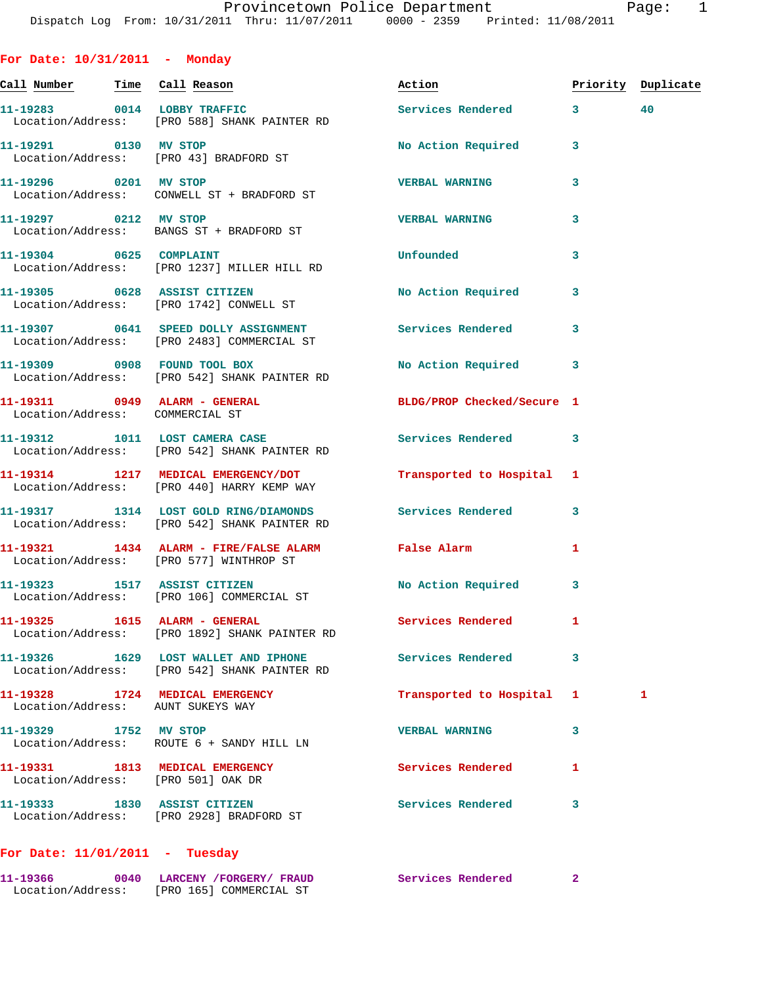**Call Number Time Call Reason Action Priority Duplicate 11-19283 0014 LOBBY TRAFFIC Services Rendered 3 40**  Location/Address: [PRO 588] SHANK PAINTER RD 11-19291 0130 MV STOP **No Action Required** 3 Location/Address: [PRO 43] BRADFORD ST **11-19296 0201 MV STOP VERBAL WARNING 3**  Location/Address: CONWELL ST + BRADFORD ST **11-19297 0212 MV STOP VERBAL WARNING 3**  Location/Address: BANGS ST + BRADFORD ST **11-19304 0625 COMPLAINT Unfounded 3**  Location/Address: [PRO 1237] MILLER HILL RD **11-19305 0628 ASSIST CITIZEN No Action Required 3**  Location/Address: [PRO 1742] CONWELL ST **11-19307 0641 SPEED DOLLY ASSIGNMENT Services Rendered 3**  Location/Address: [PRO 2483] COMMERCIAL ST **11-19309 0908 FOUND TOOL BOX No Action Required 3**  Location/Address: [PRO 542] SHANK PAINTER RD **11-19311 0949 ALARM - GENERAL BLDG/PROP Checked/Secure 1**  Location/Address: COMMERCIAL ST **11-19312 1011 LOST CAMERA CASE Services Rendered 3**  Location/Address: [PRO 542] SHANK PAINTER RD **11-19314 1217 MEDICAL EMERGENCY/DOT Transported to Hospital 1**  Location/Address: [PRO 440] HARRY KEMP WAY **11-19317 1314 LOST GOLD RING/DIAMONDS Services Rendered 3**  Location/Address: [PRO 542] SHANK PAINTER RD **11-19321 1434 ALARM - FIRE/FALSE ALARM False Alarm 1**  Location/Address: [PRO 577] WINTHROP ST **11-19323 1517 ASSIST CITIZEN No Action Required 3**  Location/Address: [PRO 106] COMMERCIAL ST **11-19325 1615 ALARM - GENERAL Services Rendered 1**  Location/Address: [PRO 1892] SHANK PAINTER RD **11-19326 1629 LOST WALLET AND IPHONE Services Rendered 3**  Location/Address: [PRO 542] SHANK PAINTER RD **11-19328 1724 MEDICAL EMERGENCY Transported to Hospital 1 1**  Location/Address: AUNT SUKEYS WAY **11-19329 1752 MV STOP VERBAL WARNING 3**  Location/Address: ROUTE 6 + SANDY HILL LN **11-19331 1813 MEDICAL EMERGENCY Services Rendered 1**  Location/Address: [PRO 501] OAK DR **11-19333 1830 ASSIST CITIZEN Services Rendered 3** 

## **For Date: 11/01/2011 - Tuesday**

Location/Address: [PRO 2928] BRADFORD ST

**For Date: 10/31/2011 - Monday**

| 11-19366          | 0040 | LARCENY /FORGERY/ FRAUD |  | Services Rendered |  |
|-------------------|------|-------------------------|--|-------------------|--|
| Location/Address: |      | [PRO 165] COMMERCIAL ST |  |                   |  |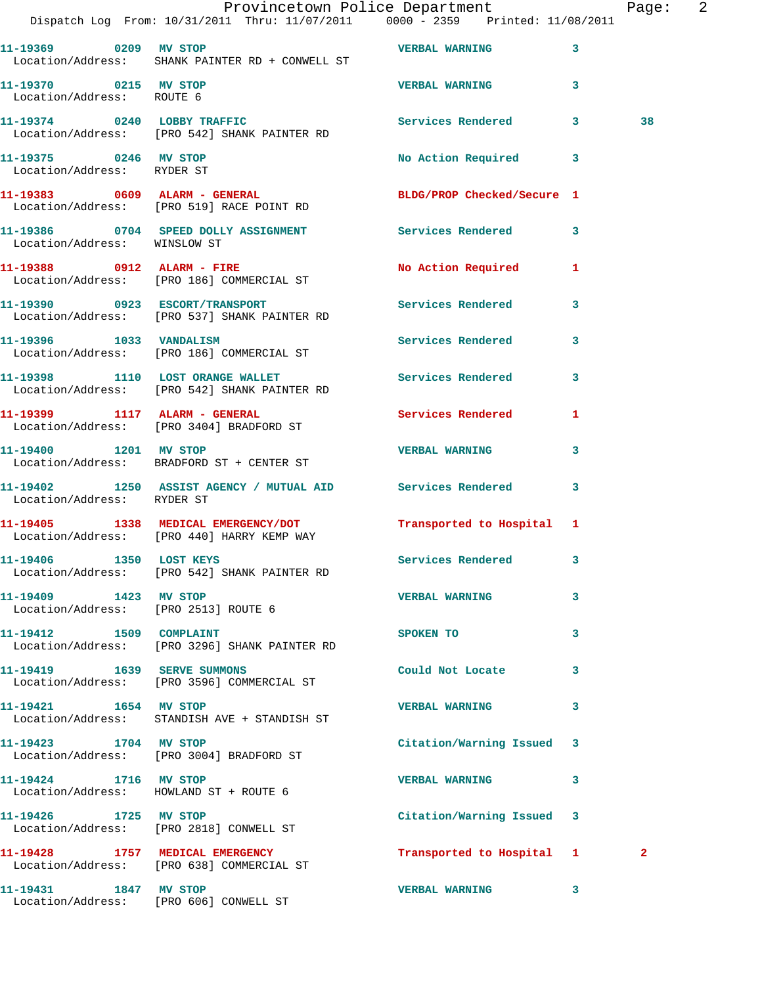|                                                               | Provincetown Police Department The Page: 2<br>Dispatch Log From: 10/31/2011 Thru: 11/07/2011 0000 - 2359 Printed: 11/08/2011 |                            |              |  |
|---------------------------------------------------------------|------------------------------------------------------------------------------------------------------------------------------|----------------------------|--------------|--|
|                                                               | Location/Address: SHANK PAINTER RD + CONWELL ST                                                                              |                            | 3            |  |
| 11-19370 0215 MV STOP<br>Location/Address: ROUTE 6            |                                                                                                                              | <b>VERBAL WARNING</b>      | $\mathbf{3}$ |  |
|                                                               | 11-19374     0240   LOBBY TRAFFIC<br>Location/Address:   [PRO 542] SHANK PAINTER RD                                          | Services Rendered 3        | 38           |  |
| 11-19375 0246 MV STOP<br>Location/Address: RYDER ST           |                                                                                                                              | No Action Required 3       |              |  |
|                                                               | 11-19383 0609 ALARM - GENERAL<br>Location/Address: [PRO 519] RACE POINT RD                                                   | BLDG/PROP Checked/Secure 1 |              |  |
| Location/Address: WINSLOW ST                                  | 11-19386 0704 SPEED DOLLY ASSIGNMENT Services Rendered                                                                       |                            | 3            |  |
|                                                               | 11-19388 0912 ALARM - FIRE<br>Location/Address: [PRO 186] COMMERCIAL ST                                                      | No Action Required 1       |              |  |
|                                                               | 11-19390 0923 ESCORT/TRANSPORT<br>Location/Address: [PRO 537] SHANK PAINTER RD                                               | Services Rendered          | 3            |  |
|                                                               | 11-19396 1033 VANDALISM<br>Location/Address: [PRO 186] COMMERCIAL ST                                                         | Services Rendered 3        |              |  |
|                                                               | 11-19398 1110 LOST ORANGE WALLET<br>Location/Address: [PRO 542] SHANK PAINTER RD                                             | <b>Services Rendered</b>   | 3            |  |
|                                                               | 11-19399 1117 ALARM - GENERAL<br>Location/Address: [PRO 3404] BRADFORD ST                                                    | Services Rendered 1        |              |  |
|                                                               | 11-19400 1201 MV STOP<br>Location/Address: BRADFORD ST + CENTER ST                                                           | <b>VERBAL WARNING</b>      | 3            |  |
| Location/Address: RYDER ST                                    | 11-19402 1250 ASSIST AGENCY / MUTUAL AID Services Rendered                                                                   |                            | $\mathbf{3}$ |  |
|                                                               | 11-19405 1338 MEDICAL EMERGENCY/DOT<br>Location/Address: [PRO 440] HARRY KEMP WAY                                            | Transported to Hospital 1  |              |  |
| 11-19406 1350 LOST KEYS                                       | Location/Address: [PRO 542] SHANK PAINTER RD                                                                                 | <b>Services Rendered</b>   |              |  |
| 11-19409 1423 MV STOP<br>Location/Address: [PRO 2513] ROUTE 6 |                                                                                                                              | <b>VERBAL WARNING</b>      | 3            |  |
| 11-19412 1509 COMPLAINT                                       | Location/Address: [PRO 3296] SHANK PAINTER RD                                                                                | SPOKEN TO                  | 3            |  |
|                                                               | 11-19419    1639    SERVE SUMMONS<br>Location/Address: [PRO 3596] COMMERCIAL ST                                              | Could Not Locate           | 3            |  |
| 11-19421 1654 MV STOP                                         | Location/Address: STANDISH AVE + STANDISH ST                                                                                 | <b>VERBAL WARNING</b>      | 3            |  |
| 11-19423 1704 MV STOP                                         | Location/Address: [PRO 3004] BRADFORD ST                                                                                     | Citation/Warning Issued    | 3            |  |
| 11-19424 1716 MV STOP                                         | Location/Address: HOWLAND ST + ROUTE 6                                                                                       | <b>VERBAL WARNING</b>      | 3            |  |
|                                                               | 11-19426 1725 MV STOP<br>Location/Address: [PRO 2818] CONWELL ST                                                             | Citation/Warning Issued 3  |              |  |
|                                                               | 11-19428 1757 MEDICAL EMERGENCY<br>Location/Address: [PRO 638] COMMERCIAL ST                                                 | Transported to Hospital 1  | $\mathbf{2}$ |  |
| 11-19431 1847 MV STOP                                         | Location/Address: [PRO 606] CONWELL ST                                                                                       | <b>VERBAL WARNING</b>      | 3            |  |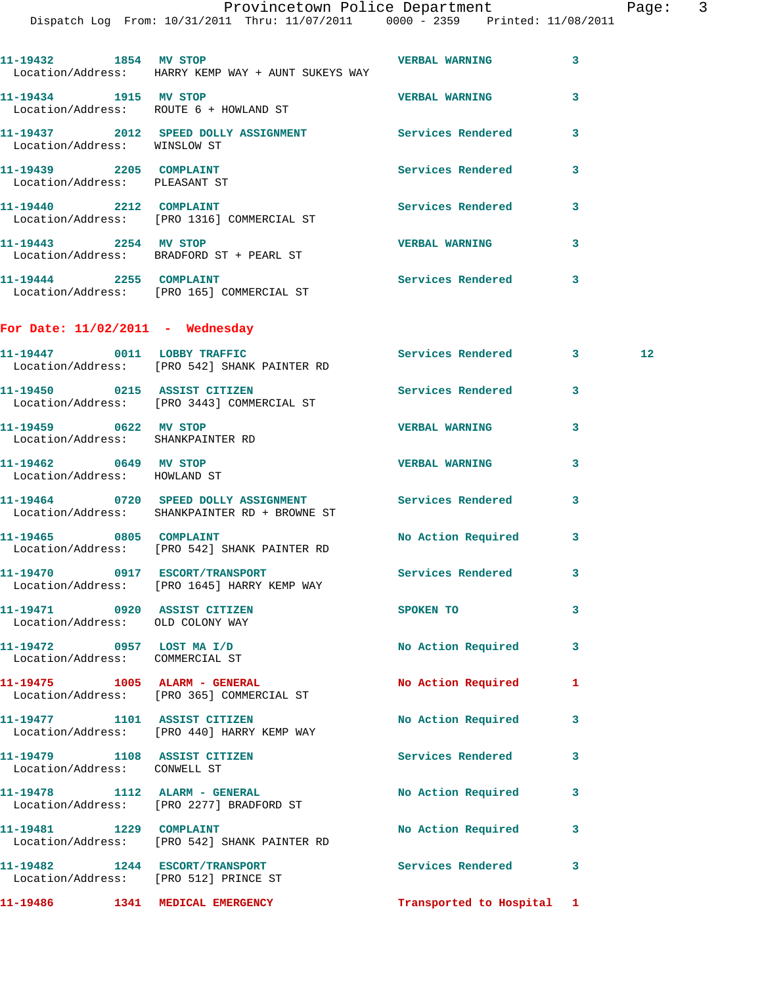|                                                                         | Dispatch Log From: 10/31/2011 Thru: 11/07/2011 0000 - 2359 Printed: 11/08/2011                          |                           |              |                 |
|-------------------------------------------------------------------------|---------------------------------------------------------------------------------------------------------|---------------------------|--------------|-----------------|
| 11-19432 1854 MV STOP                                                   | Location/Address: HARRY KEMP WAY + AUNT SUKEYS WAY                                                      | <b>VERBAL WARNING</b>     | 3            |                 |
|                                                                         | 11-19434 1915 MV STOP<br>Location/Address: ROUTE 6 + HOWLAND ST                                         | <b>VERBAL WARNING</b>     | 3            |                 |
| Location/Address: WINSLOW ST                                            | 11-19437 2012 SPEED DOLLY ASSIGNMENT Services Rendered 3                                                |                           |              |                 |
| 11-19439 2205 COMPLAINT<br>Location/Address: PLEASANT ST                |                                                                                                         | Services Rendered         | 3            |                 |
| 11-19440 2212 COMPLAINT                                                 | Location/Address: [PRO 1316] COMMERCIAL ST                                                              | Services Rendered         | 3            |                 |
|                                                                         | 11-19443 2254 MV STOP<br>Location/Address: BRADFORD ST + PEARL ST                                       | <b>VERBAL WARNING</b>     | 3            |                 |
| 11-19444 2255 COMPLAINT                                                 | Location/Address: [PRO 165] COMMERCIAL ST                                                               | Services Rendered 3       |              |                 |
| For Date: $11/02/2011$ - Wednesday                                      |                                                                                                         |                           |              |                 |
|                                                                         | 11-19447 0011 LOBBY TRAFFIC<br>Location/Address: [PRO 542] SHANK PAINTER RD                             | Services Rendered 3       |              | 12 <sub>2</sub> |
|                                                                         | 11-19450 0215 ASSIST CITIZEN<br>Location/Address: [PRO 3443] COMMERCIAL ST                              | Services Rendered 3       |              |                 |
| 11-19459 0622 MV STOP<br>Location/Address: SHANKPAINTER RD              |                                                                                                         | <b>VERBAL WARNING</b>     | 3            |                 |
| 11-19462 0649 MV STOP<br>Location/Address: HOWLAND ST                   |                                                                                                         | <b>VERBAL WARNING</b>     | 3            |                 |
|                                                                         | 11-19464 0720 SPEED DOLLY ASSIGNMENT Services Rendered<br>Location/Address: SHANKPAINTER RD + BROWNE ST |                           | 3            |                 |
|                                                                         | 11-19465 0805 COMPLAINT<br>Location/Address: [PRO 542] SHANK PAINTER RD                                 | No Action Required 3      |              |                 |
|                                                                         | Location/Address: [PRO 1645] HARRY KEMP WAY                                                             |                           | $\mathbf{3}$ |                 |
| 11-19471 0920 ASSIST CITIZEN<br>Location/Address: OLD COLONY WAY        |                                                                                                         | SPOKEN TO                 | 3            |                 |
| $11-19472$ 0957 LOST MA I/D<br>Location/Address: COMMERCIAL ST          |                                                                                                         | No Action Required 3      |              |                 |
|                                                                         | 11-19475    1005    ALARM - GENERAL<br>Location/Address: [PRO 365] COMMERCIAL ST                        | <b>No Action Required</b> | 1            |                 |
| 11-19477 1101 ASSIST CITIZEN                                            | Location/Address: [PRO 440] HARRY KEMP WAY                                                              | No Action Required        | $\mathbf{3}$ |                 |
| 11-19479 1108 ASSIST CITIZEN<br>Location/Address: CONWELL ST            |                                                                                                         | Services Rendered         | 3            |                 |
|                                                                         | Location/Address: [PRO 2277] BRADFORD ST                                                                | No Action Required        | 3            |                 |
| 11-19481 1229 COMPLAINT                                                 | Location/Address: [PRO 542] SHANK PAINTER RD                                                            | No Action Required        | 3            |                 |
| 11-19482 1244 ESCORT/TRANSPORT<br>Location/Address: [PRO 512] PRINCE ST |                                                                                                         | Services Rendered         | 3            |                 |
| 11-19486 1341 MEDICAL EMERGENCY                                         |                                                                                                         | Transported to Hospital 1 |              |                 |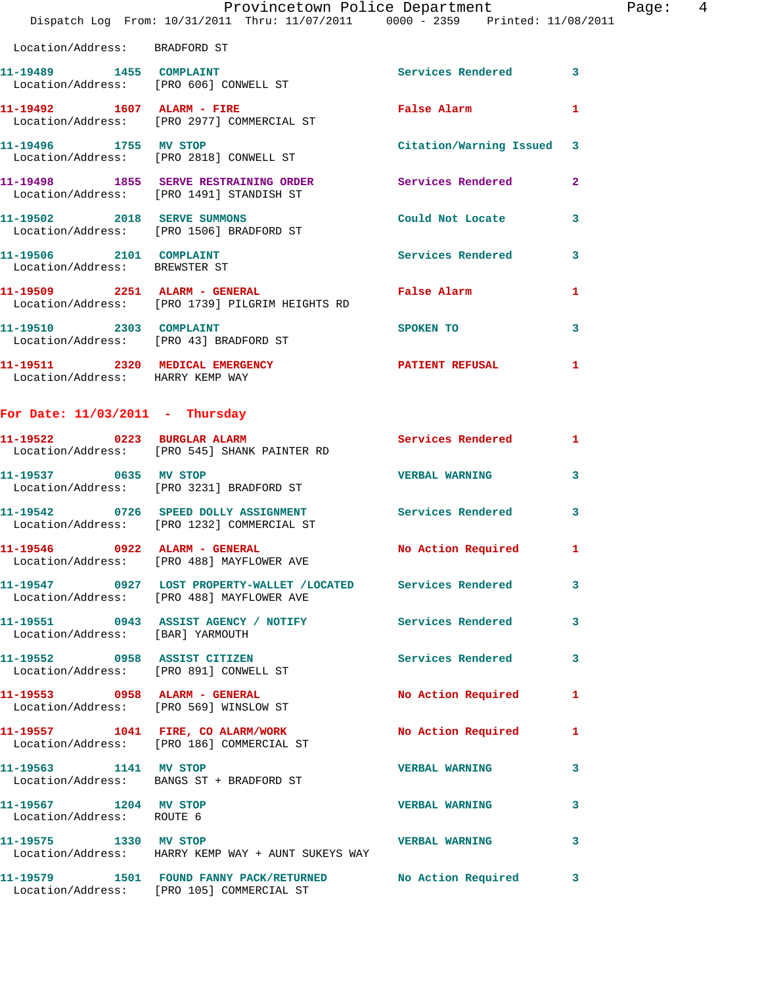|  | Provincetown Police Department                                                 | $\frac{4}{3}$<br>Page: |
|--|--------------------------------------------------------------------------------|------------------------|
|  | Dispatch Log From: 10/31/2011 Thru: 11/07/2011 0000 - 2359 Printed: 11/08/2011 |                        |

| Location/Address: BRADFORD ST                            |                                                                                   |                           |                         |
|----------------------------------------------------------|-----------------------------------------------------------------------------------|---------------------------|-------------------------|
|                                                          | Location/Address: [PRO 606] CONWELL ST                                            | <b>Services Rendered</b>  | $\mathbf{3}$            |
| 11-19492    1607    ALARM - FIRE                         | Location/Address: [PRO 2977] COMMERCIAL ST                                        | False Alarm               | $\mathbf{1}$            |
| 11-19496 1755 MV STOP                                    | Location/Address: [PRO 2818] CONWELL ST                                           | Citation/Warning Issued 3 |                         |
|                                                          | 11-19498 1855 SERVE RESTRAINING ORDER<br>Location/Address: [PRO 1491] STANDISH ST | <b>Services Rendered</b>  | $\overline{2}$          |
| 11-19502 2018 SERVE SUMMONS                              | Location/Address: [PRO 1506] BRADFORD ST                                          | Could Not Locate          | $\mathbf{3}$            |
| 11-19506 2101 COMPLAINT<br>Location/Address: BREWSTER ST |                                                                                   | Services Rendered         | $\mathbf{3}$            |
|                                                          | 11-19509 2251 ALARM - GENERAL<br>Location/Address: [PRO 1739] PILGRIM HEIGHTS RD  | False Alarm               | $\mathbf{1}$            |
|                                                          | 11-19510 2303 COMPLAINT<br>Location/Address: [PRO 43] BRADFORD ST                 | SPOKEN TO                 | $\overline{\mathbf{3}}$ |
| Location/Address: HARRY KEMP WAY                         | 11-19511 2320 MEDICAL EMERGENCY                                                   | <b>PATIENT REFUSAL</b>    | $\mathbf{1}$            |
|                                                          |                                                                                   |                           |                         |

## **For Date: 11/03/2011 - Thursday**

Location/Address: [PRO 105] COMMERCIAL ST

| 11-19522 0223 BURGLAR ALARM                                             | Location/Address: [PRO 545] SHANK PAINTER RD                                                               | <b>Services Rendered</b> | $\mathbf{1}$            |
|-------------------------------------------------------------------------|------------------------------------------------------------------------------------------------------------|--------------------------|-------------------------|
| 11-19537 0635 MV STOP                                                   | Location/Address: [PRO 3231] BRADFORD ST                                                                   | <b>VERBAL WARNING</b>    | $\overline{\mathbf{3}}$ |
|                                                                         | 11-19542 0726 SPEED DOLLY ASSIGNMENT<br>Location/Address: [PRO 1232] COMMERCIAL ST                         | <b>Services Rendered</b> | $\overline{\mathbf{3}}$ |
| 11-19546 0922 ALARM - GENERAL                                           | Location/Address: [PRO 488] MAYFLOWER AVE                                                                  | No Action Required       | $\mathbf{1}$            |
|                                                                         | 11-19547 0927 LOST PROPERTY-WALLET /LOCATED Services Rendered<br>Location/Address: [PRO 488] MAYFLOWER AVE |                          | $\mathbf{3}$            |
| Location/Address: [BAR] YARMOUTH                                        | 11-19551 0943 ASSIST AGENCY / NOTIFY                                                                       | <b>Services Rendered</b> | $\overline{\mathbf{3}}$ |
| 11-19552 0958 ASSIST CITIZEN<br>Location/Address: [PRO 891] CONWELL ST  |                                                                                                            | Services Rendered        | 3                       |
| 11-19553 0958 ALARM - GENERAL<br>Location/Address: [PRO 569] WINSLOW ST |                                                                                                            | No Action Required       | $\mathbf{1}$            |
| 11-19557 1041 FIRE, CO ALARM/WORK                                       | Location/Address: [PRO 186] COMMERCIAL ST                                                                  | No Action Required       | $\mathbf{1}$            |
| 11-19563 1141 MV STOP                                                   | Location/Address: BANGS ST + BRADFORD ST                                                                   | <b>VERBAL WARNING</b>    | 3                       |
| 11-19567 1204 MV STOP<br>Location/Address: ROUTE 6                      |                                                                                                            | <b>VERBAL WARNING</b>    | 3                       |
| 11-19575 1330 MV STOP                                                   | Location/Address: HARRY KEMP WAY + AUNT SUKEYS WAY                                                         | <b>VERBAL WARNING</b>    | 3                       |
|                                                                         | 11-19579 1501 FOUND FANNY PACK/RETURNED No Action Required                                                 |                          | 3                       |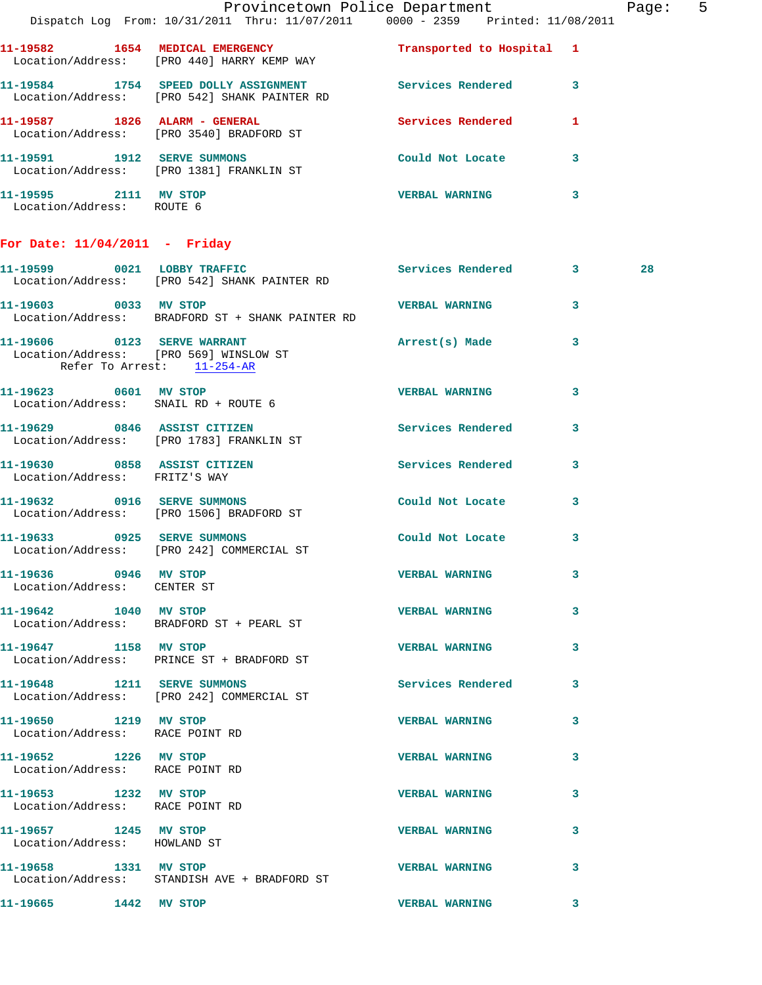|                                                          | Dispatch Log From: 10/31/2011 Thru: 11/07/2011 0000 - 2359 Printed: 11/08/2011                            | Provincetown Police Department |              | Page: 5 |  |
|----------------------------------------------------------|-----------------------------------------------------------------------------------------------------------|--------------------------------|--------------|---------|--|
|                                                          | 11-19582 1654 MEDICAL EMERGENCY 1 Transported to Hospital 1<br>Location/Address: [PRO 440] HARRY KEMP WAY |                                |              |         |  |
|                                                          | 11-19584 1754 SPEED DOLLY ASSIGNMENT Services Rendered 3<br>Location/Address: [PRO 542] SHANK PAINTER RD  |                                |              |         |  |
|                                                          | 11-19587 1826 ALARM - GENERAL<br>Location/Address: [PRO 3540] BRADFORD ST                                 | Services Rendered 1            |              |         |  |
|                                                          | 11-19591 1912 SERVE SUMMONS<br>Location/Address: [PRO 1381] FRANKLIN ST                                   | Could Not Locate               | $\mathbf{3}$ |         |  |
| 11-19595 2111 MV STOP<br>Location/Address: ROUTE 6       |                                                                                                           | VERBAL WARNING 3               |              |         |  |
| For Date: $11/04/2011$ - Friday                          |                                                                                                           |                                |              |         |  |
|                                                          | 11-19599 0021 LOBBY TRAFFIC<br>Location/Address: [PRO 542] SHANK PAINTER RD                               | Services Rendered 3            |              | 28      |  |
| 11-19603 0033 MV STOP                                    | Location/Address: BRADFORD ST + SHANK PAINTER RD                                                          | VERBAL WARNING 3               |              |         |  |
| Refer To Arrest: 11-254-AR                               | 11-19606 0123 SERVE WARRANT<br>Location/Address: [PRO 569] WINSLOW ST                                     | Arrest(s) Made 3               |              |         |  |
|                                                          | 11-19623 0601 MV STOP<br>Location/Address: SNAIL RD + ROUTE 6                                             | <b>VERBAL WARNING</b>          | 3            |         |  |
|                                                          | 11-19629 0846 ASSIST CITIZEN<br>Location/Address: [PRO 1783] FRANKLIN ST                                  | Services Rendered 3            |              |         |  |
|                                                          | 11-19630 0858 ASSIST CITIZEN<br>Location/Address: FRITZ'S WAY                                             | Services Rendered 3            |              |         |  |
|                                                          | 11-19632 0916 SERVE SUMMONS<br>Location/Address: [PRO 1506] BRADFORD ST                                   | Could Not Locate               | 3            |         |  |
|                                                          | 11-19633 0925 SERVE SUMMONS<br>Location/Address: [PRO 242] COMMERCIAL ST                                  | Could Not Locate 3             |              |         |  |
| 11-19636 0946 MV STOP<br>Location/Address: CENTER ST     |                                                                                                           | <b>VERBAL WARNING</b>          | 3            |         |  |
| 11-19642 1040 MV STOP                                    | Location/Address: BRADFORD ST + PEARL ST                                                                  | <b>VERBAL WARNING</b>          | 3            |         |  |
| 11-19647 1158 MV STOP                                    | Location/Address: PRINCE ST + BRADFORD ST                                                                 | VERBAL WARNING 3               |              |         |  |
|                                                          | 11-19648 1211 SERVE SUMMONS<br>Location/Address: [PRO 242] COMMERCIAL ST                                  | Services Rendered              | 3            |         |  |
| 11-19650 1219 MV STOP<br>Location/Address: RACE POINT RD |                                                                                                           | <b>VERBAL WARNING</b>          | 3            |         |  |
| 11-19652 1226 MV STOP<br>Location/Address: RACE POINT RD |                                                                                                           | <b>VERBAL WARNING</b>          | 3            |         |  |
| 11-19653 1232 MV STOP<br>Location/Address: RACE POINT RD |                                                                                                           | <b>VERBAL WARNING</b>          | 3            |         |  |
| 11-19657 1245 MV STOP<br>Location/Address: HOWLAND ST    |                                                                                                           | <b>VERBAL WARNING</b>          | 3            |         |  |
| 11-19658 1331 MV STOP                                    | Location/Address: STANDISH AVE + BRADFORD ST                                                              | <b>VERBAL WARNING</b>          | 3            |         |  |
| 11-19665 1442 MV STOP                                    |                                                                                                           | <b>VERBAL WARNING</b>          | 3            |         |  |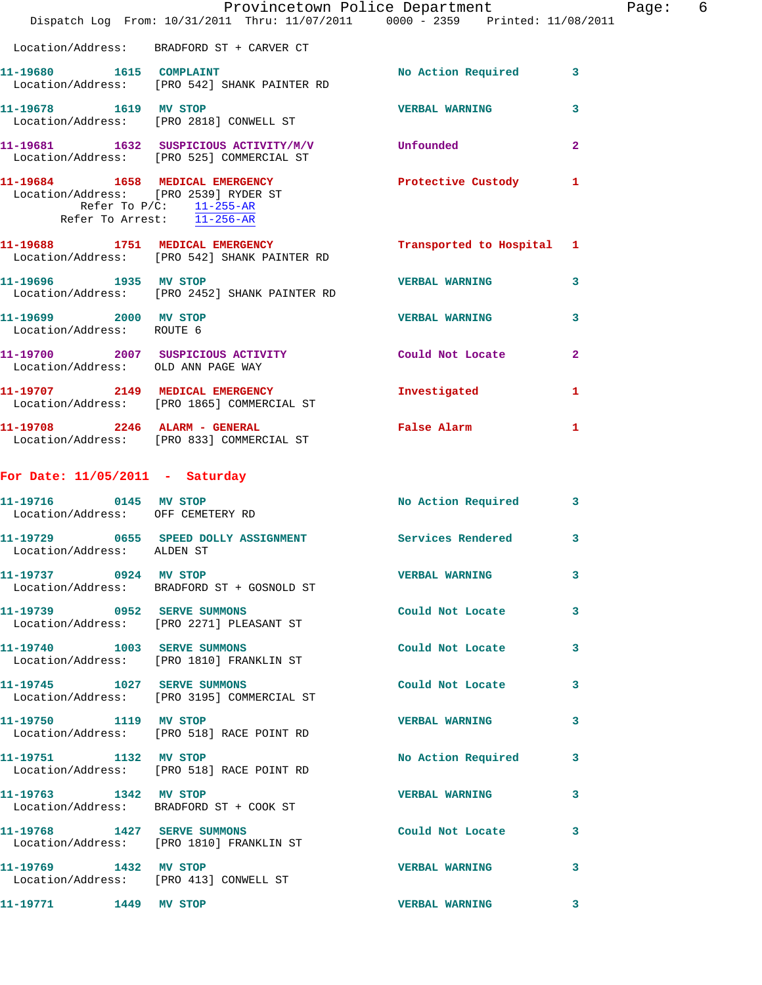|                                                            |                                                                                                        | Provincetown Police Department |                | Page: | 6 |
|------------------------------------------------------------|--------------------------------------------------------------------------------------------------------|--------------------------------|----------------|-------|---|
|                                                            | Dispatch Log From: 10/31/2011 Thru: 11/07/2011 0000 - 2359 Printed: 11/08/2011                         |                                |                |       |   |
|                                                            | Location/Address: BRADFORD ST + CARVER CT                                                              |                                |                |       |   |
| 11-19680 1615 COMPLAINT                                    | Location/Address: [PRO 542] SHANK PAINTER RD                                                           | No Action Required 3           |                |       |   |
| 11-19678 1619 MV STOP                                      | Location/Address: [PRO 2818] CONWELL ST                                                                | <b>VERBAL WARNING</b>          | 3              |       |   |
|                                                            | 11-19681 1632 SUSPICIOUS ACTIVITY/M/V Unfounded<br>Location/Address: [PRO 525] COMMERCIAL ST           |                                | $\overline{2}$ |       |   |
| Refer To Arrest: 11-256-AR                                 | 11-19684 1658 MEDICAL EMERGENCY<br>Location/Address: [PRO 2539] RYDER ST<br>Refer To $P/C$ : 11-255-AR | Protective Custody             | $\mathbf{1}$   |       |   |
|                                                            | 11-19688 1751 MEDICAL EMERGENCY<br>Location/Address: [PRO 542] SHANK PAINTER RD                        | Transported to Hospital 1      |                |       |   |
| 11-19696 1935 MV STOP                                      | Location/Address: [PRO 2452] SHANK PAINTER RD                                                          | <b>VERBAL WARNING</b>          | 3              |       |   |
| 11-19699 2000 MV STOP<br>Location/Address: ROUTE 6         |                                                                                                        | <b>VERBAL WARNING</b>          | 3              |       |   |
| Location/Address: OLD ANN PAGE WAY                         | 11-19700 2007 SUSPICIOUS ACTIVITY Could Not Locate                                                     |                                | $\overline{2}$ |       |   |
|                                                            | 11-19707 2149 MEDICAL EMERGENCY<br>Location/Address: [PRO 1865] COMMERCIAL ST                          | Investigated                   | 1              |       |   |
| 11-19708 2246 ALARM - GENERAL                              | Location/Address: [PRO 833] COMMERCIAL ST                                                              | False Alarm                    | 1              |       |   |
| For Date: $11/05/2011$ - Saturday                          |                                                                                                        |                                |                |       |   |
| 11-19716 0145 MV STOP<br>Location/Address: OFF CEMETERY RD |                                                                                                        | No Action Required 3           |                |       |   |
| Location/Address: ALDEN ST                                 |                                                                                                        |                                | 3              |       |   |
| 11-19737 0924 MV STOP                                      | Location/Address: BRADFORD ST + GOSNOLD ST                                                             | <b>VERBAL WARNING</b>          | 3              |       |   |
|                                                            | 11-19739 0952 SERVE SUMMONS<br>Location/Address: [PRO 2271] PLEASANT ST                                | Could Not Locate 3             |                |       |   |
|                                                            | 11-19740 1003 SERVE SUMMONS<br>Location/Address: [PRO 1810] FRANKLIN ST                                | Could Not Locate 3             |                |       |   |
|                                                            | 11-19745 1027 SERVE SUMMONS<br>Location/Address: [PRO 3195] COMMERCIAL ST                              | Could Not Locate               | 3              |       |   |
| 11-19750 1119 MV STOP                                      | Location/Address: [PRO 518] RACE POINT RD                                                              | VERBAL WARNING 3               |                |       |   |
| 11-19751 1132 MV STOP                                      | Location/Address: [PRO 518] RACE POINT RD                                                              | No Action Required             | 3              |       |   |
| 11-19763 1342 MV STOP                                      | Location/Address: BRADFORD ST + COOK ST                                                                | VERBAL WARNING 3               |                |       |   |
|                                                            | 11-19768 1427 SERVE SUMMONS<br>Location/Address: [PRO 1810] FRANKLIN ST                                | Could Not Locate               | 3              |       |   |
| 11-19769 1432 MV STOP                                      | Location/Address: [PRO 413] CONWELL ST                                                                 | <b>VERBAL WARNING</b>          | 3              |       |   |
| 11-19771 1449 MV STOP                                      |                                                                                                        | <b>VERBAL WARNING</b>          | 3              |       |   |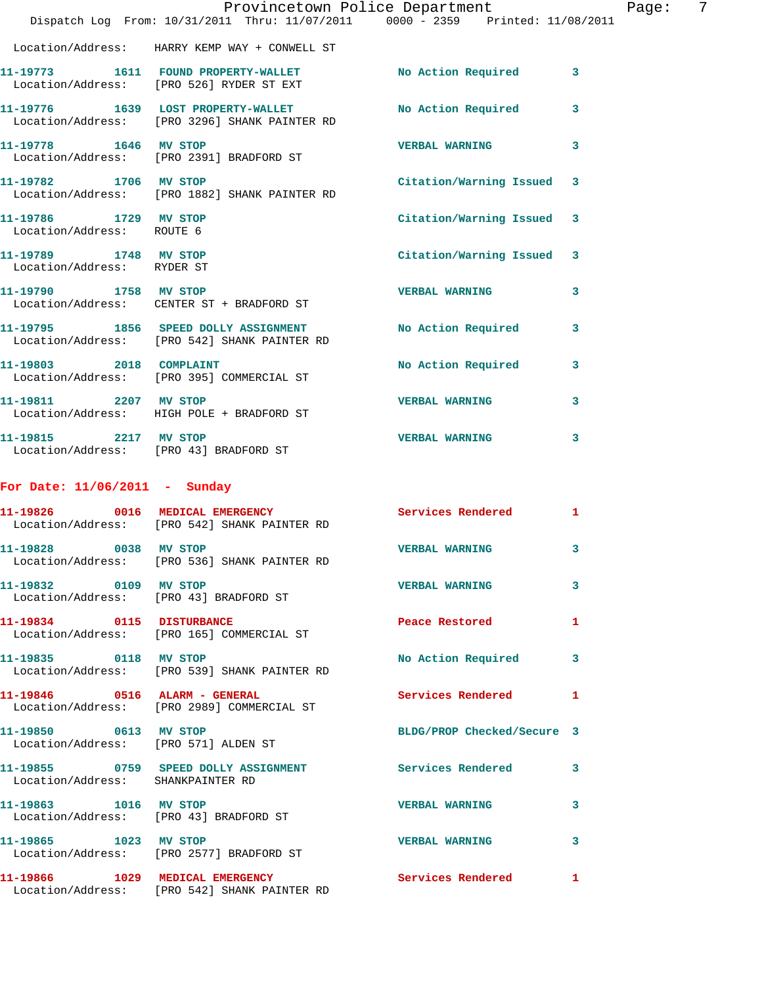|                                                     | Dispatch Log From: 10/31/2011 Thru: 11/07/2011 0000 - 2359 Printed: 11/08/2011                      | Provincetown Police Department | -7<br>Page:  |
|-----------------------------------------------------|-----------------------------------------------------------------------------------------------------|--------------------------------|--------------|
|                                                     | Location/Address: HARRY KEMP WAY + CONWELL ST                                                       |                                |              |
|                                                     | 11-19773 1611 FOUND PROPERTY-WALLET<br>Location/Address: [PRO 526] RYDER ST EXT                     | No Action Required 3           |              |
|                                                     | 11-19776 1639 LOST PROPERTY-WALLET<br>Location/Address: [PRO 3296] SHANK PAINTER RD                 | No Action Required 3           |              |
| 11-19778 1646 MV STOP                               | Location/Address: [PRO 2391] BRADFORD ST                                                            | VERBAL WARNING 3               |              |
| 11-19782 1706 MV STOP                               | Location/Address: [PRO 1882] SHANK PAINTER RD                                                       | Citation/Warning Issued 3      |              |
| 11-19786 1729 MV STOP<br>Location/Address: ROUTE 6  |                                                                                                     | Citation/Warning Issued 3      |              |
| 11-19789 1748 MV STOP<br>Location/Address: RYDER ST |                                                                                                     | Citation/Warning Issued 3      |              |
| 11-19790 1758 MV STOP                               | Location/Address: CENTER ST + BRADFORD ST                                                           | <b>VERBAL WARNING</b>          | 3            |
|                                                     | 11-19795 1856 SPEED DOLLY ASSIGNMENT<br>Location/Address: [PRO 542] SHANK PAINTER RD                | No Action Required             | $\mathbf{3}$ |
|                                                     | 11-19803 2018 COMPLAINT<br>Location/Address: [PRO 395] COMMERCIAL ST                                | No Action Required 3           |              |
| 11-19811 2207 MV STOP                               | Location/Address: HIGH POLE + BRADFORD ST                                                           | <b>VERBAL WARNING</b>          | $\mathbf{3}$ |
| 11-19815 2217 MV STOP                               | Location/Address: [PRO 43] BRADFORD ST                                                              | <b>VERBAL WARNING</b>          | 3            |
| For Date: $11/06/2011$ - Sunday                     |                                                                                                     |                                |              |
|                                                     | 11-19826 0016 MEDICAL EMERGENCY Services Rendered<br>Location/Address: [PRO 542] SHANK PAINTER RD   |                                | 1            |
| 11-19828 0038 MV STOP                               | Location/Address: [PRO 536] SHANK PAINTER RD                                                        | <b>VERBAL WARNING</b>          | $\mathbf{3}$ |
| 11-19832 0109 MV STOP                               | Location/Address: [PRO 43] BRADFORD ST                                                              | <b>VERBAL WARNING 3</b>        |              |
|                                                     | 11-19834 0115 DISTURBANCE<br>Location/Address: [PRO 165] COMMERCIAL ST                              | Peace Restored 1               |              |
| 11-19835 0118 MV STOP                               | Location/Address: [PRO 539] SHANK PAINTER RD                                                        | No Action Required 3           |              |
|                                                     | 11-19846 0516 ALARM - GENERAL<br>Location/Address: [PRO 2989] COMMERCIAL ST                         | Services Rendered 1            |              |
| 11-19850 0613 MV STOP                               | Location/Address: [PRO 571] ALDEN ST                                                                | BLDG/PROP Checked/Secure 3     |              |
| Location/Address: SHANKPAINTER RD                   | 11-19855 0759 SPEED DOLLY ASSIGNMENT Services Rendered 3                                            |                                |              |
| 11-19863 1016 MV STOP                               | Location/Address: [PRO 43] BRADFORD ST                                                              | VERBAL WARNING 3               |              |
| 11-19865 1023 MV STOP                               | Location/Address: [PRO 2577] BRADFORD ST                                                            | VERBAL WARNING 3               |              |
|                                                     | 11-19866 1029 MEDICAL EMERGENCY Services Rendered 1<br>Location/Address: [PRO 542] SHANK PAINTER RD |                                |              |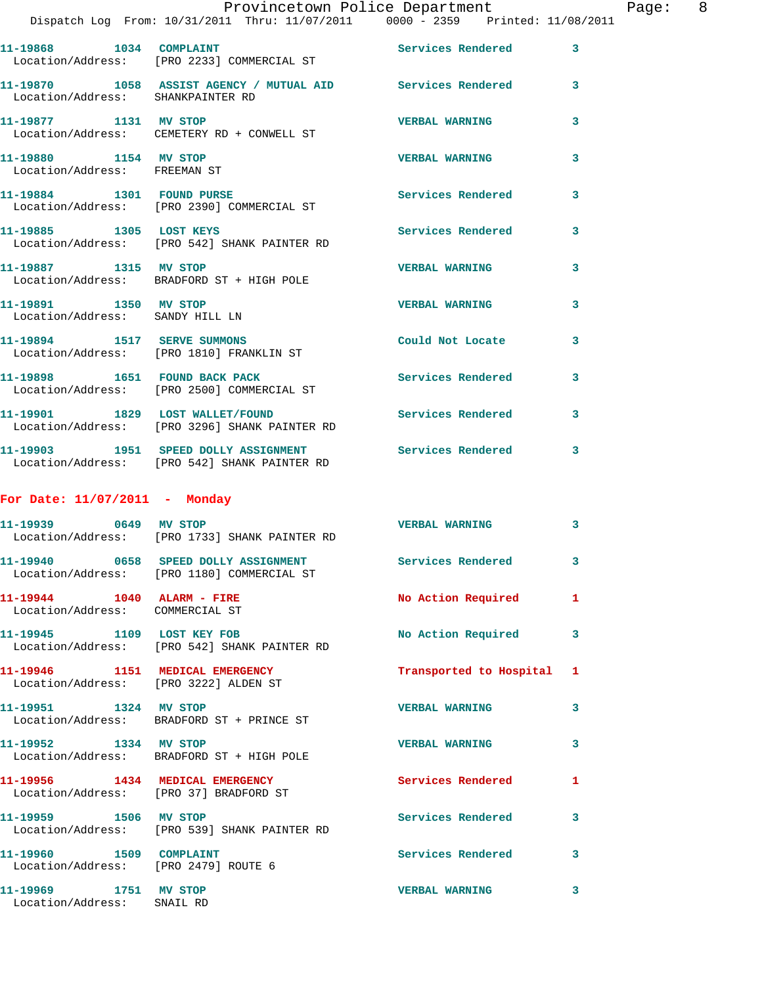|                                                                          | Provincetown Police Department<br>Dispatch Log From: 10/31/2011 Thru: 11/07/2011 0000 - 2359 Printed: 11/08/2011 |                          |   |
|--------------------------------------------------------------------------|------------------------------------------------------------------------------------------------------------------|--------------------------|---|
|                                                                          | 11-19868 1034 COMPLAINT<br>Location/Address: [PRO 2233] COMMERCIAL ST                                            | Services Rendered        | 3 |
| Location/Address: SHANKPAINTER RD                                        | 11-19870 1058 ASSIST AGENCY / MUTUAL AID Services Rendered                                                       |                          | 3 |
| 11-19877 1131 MV STOP                                                    | Location/Address: CEMETERY RD + CONWELL ST                                                                       | <b>VERBAL WARNING</b>    | 3 |
| 11-19880 1154 MV STOP<br>Location/Address: FREEMAN ST                    |                                                                                                                  | <b>VERBAL WARNING</b>    | 3 |
|                                                                          | 11-19884 1301 FOUND PURSE<br>Location/Address: [PRO 2390] COMMERCIAL ST                                          | Services Rendered        | 3 |
|                                                                          | 11-19885 1305 LOST KEYS<br>Location/Address: [PRO 542] SHANK PAINTER RD                                          | <b>Services Rendered</b> | 3 |
| 11-19887 1315 MV STOP                                                    | Location/Address: BRADFORD ST + HIGH POLE                                                                        | <b>VERBAL WARNING</b>    | 3 |
| 11-19891 1350 MV STOP<br>Location/Address: SANDY HILL LN                 |                                                                                                                  | <b>VERBAL WARNING</b>    | 3 |
| 11-19894 1517 SERVE SUMMONS                                              | Location/Address: [PRO 1810] FRANKLIN ST                                                                         | Could Not Locate         | 3 |
|                                                                          | 11-19898 1651 FOUND BACK PACK<br>Location/Address: [PRO 2500] COMMERCIAL ST                                      | Services Rendered        | 3 |
|                                                                          | 11-19901 1829 LOST WALLET/FOUND<br>Location/Address: [PRO 3296] SHANK PAINTER RD                                 | Services Rendered        | 3 |
|                                                                          | 11-19903 1951 SPEED DOLLY ASSIGNMENT Services Rendered<br>Location/Address: [PRO 542] SHANK PAINTER RD           |                          | 3 |
| For Date: $11/07/2011$ - Monday                                          |                                                                                                                  |                          |   |
|                                                                          | 11-19939 0649 MV STOP<br>Location/Address: [PRO 1733] SHANK PAINTER RD                                           | <b>VERBAL WARNING</b>    | 3 |
|                                                                          | Location/Address: [PRO 1180] COMMERCIAL ST                                                                       | <b>Services Rendered</b> | 3 |
| 11-19944 1040 ALARM - FIRE<br>Location/Address: COMMERCIAL ST            |                                                                                                                  | No Action Required       | 1 |
| 11-19945 1109 LOST KEY FOB                                               | Location/Address: [PRO 542] SHANK PAINTER RD                                                                     | No Action Required       | 3 |
| 11-19946 1151 MEDICAL EMERGENCY<br>Location/Address: [PRO 3222] ALDEN ST |                                                                                                                  | Transported to Hospital  | 1 |
| 11-19951 1324 MV STOP                                                    | Location/Address: BRADFORD ST + PRINCE ST                                                                        | <b>VERBAL WARNING</b>    | 3 |
| 11-19952 1334 MV STOP                                                    | Location/Address: BRADFORD ST + HIGH POLE                                                                        | <b>VERBAL WARNING</b>    | 3 |

Location/Address: [PRO 37] BRADFORD ST

Location/Address: [PRO 539] SHANK PAINTER RD

Location/Address: [PRO 2479] ROUTE 6

Location/Address: SNAIL RD

**11-19956 1434 MEDICAL EMERGENCY Services Rendered 1 11-19959 1506 MV STOP Services Rendered 3** 

**11-19960 1509 COMPLAINT Services Rendered 3** 

**11-19969 1751 MV STOP VERBAL WARNING 3** 

Page: 8<br>D11